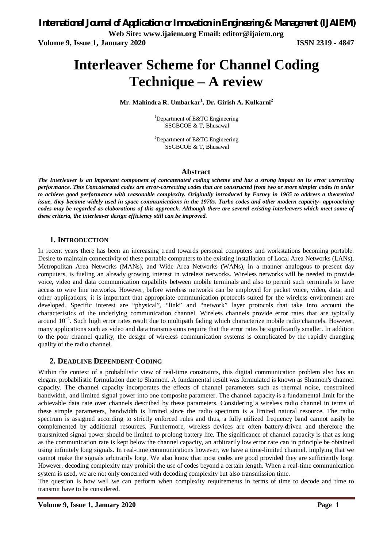# **Interleaver Scheme for Channel Coding Technique – A review**

**Mr. Mahindra R. Umbarkar<sup>1</sup> , Dr. Girish A. Kulkarni<sup>2</sup>**

<sup>1</sup>Department of E&TC Engineering SSGBCOE & T, Bhusawal

<sup>2</sup>Department of E&TC Engineering SSGBCOE & T, Bhusawal

#### **Abstract**

*The Interleaver is an important component of concatenated coding scheme and has a strong impact on its error correcting performance. This Concatenated codes are error-correcting codes that are constructed from two or more simpler codes in order to achieve good performance with reasonable complexity. Originally introduced by Forney in 1965 to address a theoretical issue, they became widely used in space communications in the 1970s. Turbo codes and other modern capacity- approaching codes may be regarded as elaborations of this approach. Although there are several existing interleavers which meet some of these criteria, the interleaver design efficiency still can be improved.* 

# **1. INTRODUCTION**

In recent years there has been an increasing trend towards personal computers and workstations becoming portable. Desire to maintain connectivity of these portable computers to the existing installation of Local Area Networks (LANs), Metropolitan Area Networks (MANs), and Wide Area Networks (WANs), in a manner analogous to present day computers, is fueling an already growing interest in wireless networks. Wireless networks will be needed to provide voice, video and data communication capability between mobile terminals and also to permit such terminals to have access to wire line networks. However, before wireless networks can be employed for packet voice, video, data, and other applications, it is important that appropriate communication protocols suited for the wireless environment are developed. Specific interest are "physical", "link" and "network" layer protocols that take into account the characteristics of the underlying communication channel. Wireless channels provide error rates that are typically around  $10^{-2}$ . Such high error rates result due to multipath fading which characterize mobile radio channels. However, many applications such as video and data transmissions require that the error rates be significantly smaller. In addition to the poor channel quality, the design of wireless communication systems is complicated by the rapidly changing quality of the radio channel.

# **2. DEADLINE DEPENDENT CODING**

Within the context of a probabilistic view of real-time constraints, this digital communication problem also has an elegant probabilistic formulation due to Shannon. A fundamental result was formulated is known as Shannon's channel capacity. The channel capacity incorporates the effects of channel parameters such as thermal noise, constrained bandwidth, and limited signal power into one composite parameter. The channel capacity is a fundamental limit for the achievable data rate over channels described by these parameters. Considering a wireless radio channel in terms of these simple parameters, bandwidth is limited since the radio spectrum is a limited natural resource. The radio spectrum is assigned according to strictly enforced rules and thus, a fully utilized frequency band cannot easily be complemented by additional resources. Furthermore, wireless devices are often battery-driven and therefore the transmitted signal power should be limited to prolong battery life. The significance of channel capacity is that as long as the communication rate is kept below the channel capacity, an arbitrarily low error rate can in principle be obtained using infinitely long signals. In real-time communications however, we have a time-limited channel, implying that we cannot make the signals arbitrarily long. We also know that most codes are good provided they are sufficiently long. However, decoding complexity may prohibit the use of codes beyond a certain length. When a real-time communication system is used, we are not only concerned with decoding complexity but also transmission time.

The question is how well we can perform when complexity requirements in terms of time to decode and time to transmit have to be considered.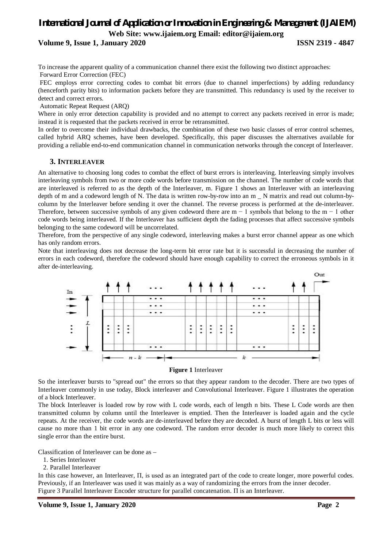# *International Journal of Application or Innovation in Engineering & Management (IJAIEM)* **Web Site: [www.ijaiem.org](http://www.ijaiem.org) Email: [editor@ijaiem.org](mailto:editor@ijaiem.org)**

**Volume 9, Issue 1, January 2020 ISSN 2319 - 4847**

To increase the apparent quality of a communication channel there exist the following two distinct approaches: Forward Error Correction (FEC)

FEC employs error correcting codes to combat bit errors (due to channel imperfections) by adding redundancy (henceforth parity bits) to information packets before they are transmitted. This redundancy is used by the receiver to detect and correct errors.

Automatic Repeat Request (ARQ)

Where in only error detection capability is provided and no attempt to correct any packets received in error is made; instead it is requested that the packets received in error be retransmitted.

In order to overcome their individual drawbacks, the combination of these two basic classes of error control schemes, called hybrid ARQ schemes, have been developed. Specifically, this paper discusses the alternatives available for providing a reliable end-to-end communication channel in communication networks through the concept of Interleaver.

# **3. INTERLEAVER**

An alternative to choosing long codes to combat the effect of burst errors is interleaving. Interleaving simply involves interleaving symbols from two or more code words before transmission on the channel. The number of code words that are interleaved is referred to as the depth of the Interleaver, m. Figure 1 shows an Interleaver with an interleaving depth of m and a codeword length of N. The data is written row-by-row into an m \_ N matrix and read out column-bycolumn by the Interleaver before sending it over the channel. The reverse process is performed at the de-interleaver. Therefore, between successive symbols of any given codeword there are m  $-1$  symbols that belong to the m  $-1$  other code words being interleaved. If the Interleaver has sufficient depth the fading processes that affect successive symbols belonging to the same codeword will be uncorrelated.

Therefore, from the perspective of any single codeword, interleaving makes a burst error channel appear as one which has only random errors.

Note that interleaving does not decrease the long-term bit error rate but it is successful in decreasing the number of errors in each codeword, therefore the codeword should have enough capability to correct the erroneous symbols in it after de-interleaving.



#### **Figure 1** Interleaver

So the interleaver bursts to "spread out" the errors so that they appear random to the decoder. There are two types of Interleaver commonly in use today, Block interleaver and Convolutional Interleaver. Figure 1 illustrates the operation of a block Interleaver.

The block Interleaver is loaded row by row with L code words, each of length n bits. These L Code words are then transmitted column by column until the Interleaver is emptied. Then the Interleaver is loaded again and the cycle repeats. At the receiver, the code words are de-interleaved before they are decoded. A burst of length L bits or less will cause no more than 1 bit error in any one codeword. The random error decoder is much more likely to correct this single error than the entire burst.

Classification of Interleaver can be done as –

- 1. Series Interleaver
- 2. Parallel Interleaver

In this case however, an Interleaver, Π, is used as an integrated part of the code to create longer, more powerful codes. Previously, if an Interleaver was used it was mainly as a way of randomizing the errors from the inner decoder. Figure 3 Parallel Interleaver Encoder structure for parallel concatenation. Π is an Interleaver.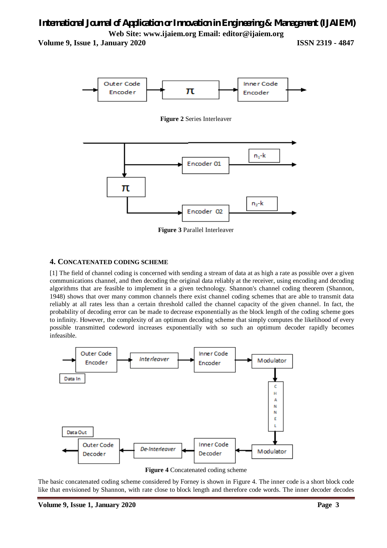# *International Journal of Application or Innovation in Engineering & Management (IJAIEM)* **Web Site: [www.ijaiem.org](http://www.ijaiem.org) Email: [editor@ijaiem.org](mailto:editor@ijaiem.org)**

**Volume 9, Issue 1, January 2020 ISSN 2319 - 4847**



**Figure 2** Series Interleaver



**Figure 3** Parallel Interleaver

# **4. CONCATENATED CODING SCHEME**

[1] The field of channel coding is concerned with sending a stream of data at as high a rate as possible over a given communications channel, and then decoding the original data reliably at the receiver, using encoding and decoding algorithms that are feasible to implement in a given technology. Shannon's channel coding theorem (Shannon, 1948) shows that over many common channels there exist channel coding schemes that are able to transmit data reliably at all rates less than a certain threshold called the channel capacity of the given channel. In fact, the probability of decoding error can be made to decrease exponentially as the block length of the coding scheme goes to infinity. However, the complexity of an optimum decoding scheme that simply computes the likelihood of every possible transmitted codeword increases exponentially with so such an optimum decoder rapidly becomes infeasible.



**Figure 4** Concatenated coding scheme

The basic concatenated coding scheme considered by Forney is shown in Figure 4. The inner code is a short block code like that envisioned by Shannon, with rate close to block length and therefore code words. The inner decoder decodes